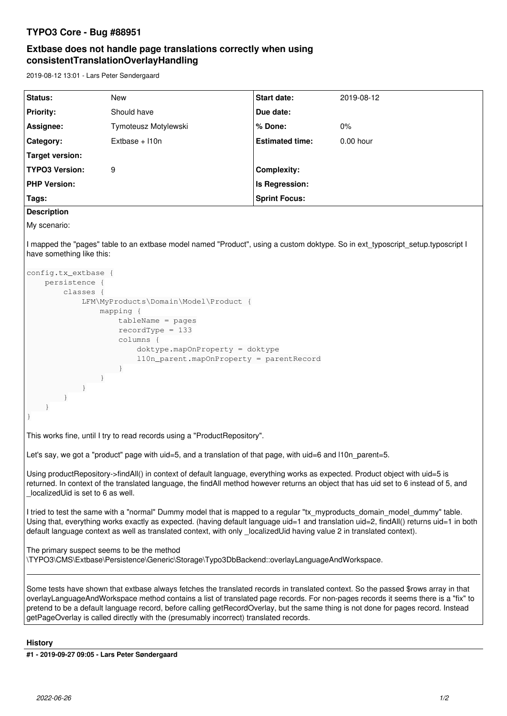## **TYPO3 Core - Bug #88951**

# **Extbase does not handle page translations correctly when using consistentTranslationOverlayHandling**

2019-08-12 13:01 - Lars Peter Søndergaard

| Status:               | <b>New</b>           | <b>Start date:</b>     | 2019-08-12  |
|-----------------------|----------------------|------------------------|-------------|
| <b>Priority:</b>      | Should have          | Due date:              |             |
| Assignee:             | Tymoteusz Motylewski | ∣% Done:               | $0\%$       |
| Category:             | $Extbase + 110n$     | <b>Estimated time:</b> | $0.00$ hour |
| Target version:       |                      |                        |             |
| <b>TYPO3 Version:</b> | 9                    | Complexity:            |             |
| <b>PHP Version:</b>   |                      | Is Regression:         |             |
| Tags:                 |                      | <b>Sprint Focus:</b>   |             |

### **Description**

My scenario:

I mapped the "pages" table to an extbase model named "Product", using a custom doktype. So in ext typoscript setup.typoscript I have something like this:

```
config.tx_extbase {
         persistence {
                   classes {
                             LFM\MyProducts\Domain\Model\Product {
                                       mapping {
                                                tableName = pages
                                                recordType = 133
                                                 columns {
                                                          doktype.mapOnProperty = doktype
                                                          l10n_parent.mapOnProperty = parentRecord
                                             }
                   \qquad \qquad \}            }
        \qquad \qquad \}\qquad \qquad \}}
This works fine, until I try to read records using a "ProductRepository".
Let's say, we got a "product" page with uid=5, and a translation of that page, with uid=6 and l10n parent=5.
Using productRepository->findAll() in context of default language, everything works as expected. Product object with uid=5 is
returned. In context of the translated language, the findAll method however returns an object that has uid set to 6 instead of 5, and
_localizedUid is set to 6 as well.
I tried to test the same with a "normal" Dummy model that is mapped to a regular "tx_myproducts_domain_model_dummy" table.
Using that, everything works exactly as expected. (having default language uid=1 and translation uid=2, findAll() returns uid=1 in both
default language context as well as translated context, with only localizedUid having value 2 in translated context).
The primary suspect seems to be the method
\TYPO3\CMS\Extbase\Persistence\Generic\Storage\Typo3DbBackend::overlayLanguageAndWorkspace.
Some tests have shown that extbase always fetches the translated records in translated context. So the passed $rows array in that
overlayLanguageAndWorkspace method contains a list of translated page records. For non-pages records it seems there is a "fix" to
pretend to be a default language record, before calling getRecordOverlay, but the same thing is not done for pages record. Instead
getPageOverlay is called directly with the (presumably incorrect) translated records.
```
#### **History**

**#1 - 2019-09-27 09:05 - Lars Peter Søndergaard**